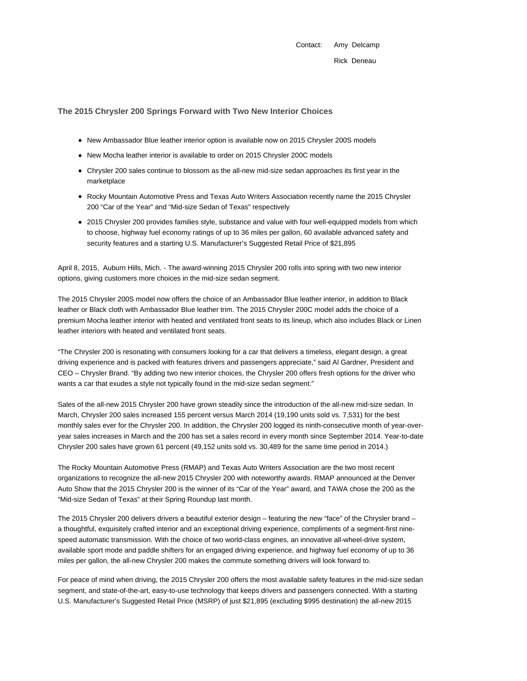Contact: Amy Delcamp Rick Deneau

## **The 2015 Chrysler 200 Springs Forward with Two New Interior Choices**

- New Ambassador Blue leather interior option is available now on 2015 Chrysler 200S models
- New Mocha leather interior is available to order on 2015 Chrysler 200C models
- Chrysler 200 sales continue to blossom as the all-new mid-size sedan approaches its first year in the marketplace
- Rocky Mountain Automotive Press and Texas Auto Writers Association recently name the 2015 Chrysler 200 "Car of the Year" and "Mid-size Sedan of Texas" respectively
- 2015 Chrysler 200 provides families style, substance and value with four well-equipped models from which to choose, highway fuel economy ratings of up to 36 miles per gallon, 60 available advanced safety and security features and a starting U.S. Manufacturer's Suggested Retail Price of \$21,895

April 8, 2015, Auburn Hills, Mich. - The award-winning 2015 Chrysler 200 rolls into spring with two new interior options, giving customers more choices in the mid-size sedan segment.

The 2015 Chrysler 200S model now offers the choice of an Ambassador Blue leather interior, in addition to Black leather or Black cloth with Ambassador Blue leather trim. The 2015 Chrysler 200C model adds the choice of a premium Mocha leather interior with heated and ventilated front seats to its lineup, which also includes Black or Linen leather interiors with heated and ventilated front seats.

"The Chrysler 200 is resonating with consumers looking for a car that delivers a timeless, elegant design, a great driving experience and is packed with features drivers and passengers appreciate," said Al Gardner, President and CEO – Chrysler Brand. "By adding two new interior choices, the Chrysler 200 offers fresh options for the driver who wants a car that exudes a style not typically found in the mid-size sedan segment."

Sales of the all-new 2015 Chrysler 200 have grown steadily since the introduction of the all-new mid-size sedan. In March, Chrysler 200 sales increased 155 percent versus March 2014 (19,190 units sold vs. 7,531) for the best monthly sales ever for the Chrysler 200. In addition, the Chrysler 200 logged its ninth-consecutive month of year-overyear sales increases in March and the 200 has set a sales record in every month since September 2014. Year-to-date Chrysler 200 sales have grown 61 percent (49,152 units sold vs. 30,489 for the same time period in 2014.)

The Rocky Mountain Automotive Press (RMAP) and Texas Auto Writers Association are the two most recent organizations to recognize the all-new 2015 Chrysler 200 with noteworthy awards. RMAP announced at the Denver Auto Show that the 2015 Chrysler 200 is the winner of its "Car of the Year" award, and TAWA chose the 200 as the "Mid-size Sedan of Texas" at their Spring Roundup last month.

The 2015 Chrysler 200 delivers drivers a beautiful exterior design – featuring the new "face" of the Chrysler brand – a thoughtful, exquisitely crafted interior and an exceptional driving experience, compliments of a segment-first ninespeed automatic transmission. With the choice of two world-class engines, an innovative all-wheel-drive system, available sport mode and paddle shifters for an engaged driving experience, and highway fuel economy of up to 36 miles per gallon, the all-new Chrysler 200 makes the commute something drivers will look forward to.

For peace of mind when driving, the 2015 Chrysler 200 offers the most available safety features in the mid-size sedan segment, and state-of-the-art, easy-to-use technology that keeps drivers and passengers connected. With a starting U.S. Manufacturer's Suggested Retail Price (MSRP) of just \$21,895 (excluding \$995 destination) the all-new 2015